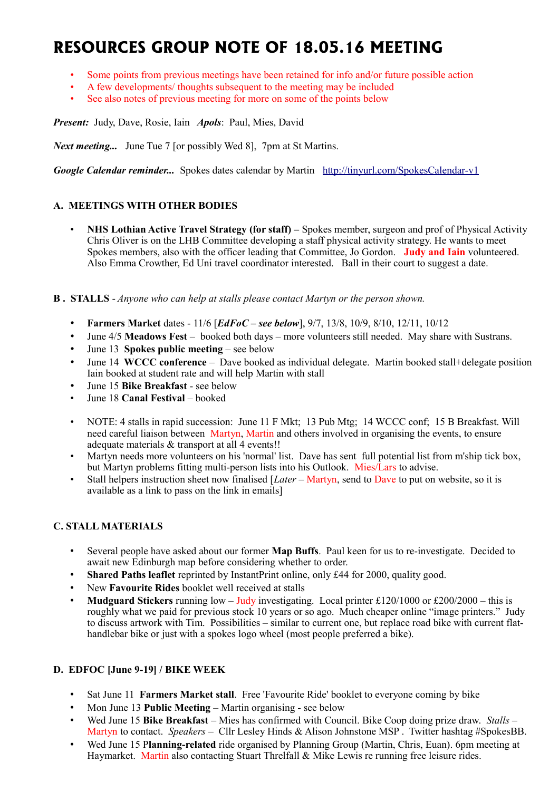# **RESOURCES GROUP NOTE OF 18.05.16 MEETING**

- Some points from previous meetings have been retained for info and/or future possible action
- A few developments/ thoughts subsequent to the meeting may be included
- See also notes of previous meeting for more on some of the points below

*Present:* Judy, Dave, Rosie, Iain *Apols*: Paul, Mies, David

*Next meeting...* June Tue 7 [or possibly Wed 8], 7pm at St Martins.

*Google Calendar reminder...* Spokes dates calendar by Martin <http://tinyurl.com/SpokesCalendar-v1>

## **A. MEETINGS WITH OTHER BODIES**

• **NHS Lothian Active Travel Strategy (for staff) –** Spokes member, surgeon and prof of Physical Activity Chris Oliver is on the LHB Committee developing a staff physical activity strategy. He wants to meet Spokes members, also with the officer leading that Committee, Jo Gordon. **Judy and Iain** volunteered. Also Emma Crowther, Ed Uni travel coordinator interested. Ball in their court to suggest a date.

#### **B . STALLS** - *Anyone who can help at stalls please contact Martyn or the person shown.*

- **Farmers Market** dates 11/6 [*EdFoC see below*], 9/7, 13/8, 10/9, 8/10, 12/11, 10/12
- June 4/5 **Meadows Fest** booked both days more volunteers still needed. May share with Sustrans.
- June 13 **Spokes public meeting** see below
- June 14 **WCCC conference** Dave booked as individual delegate. Martin booked stall+delegate position Iain booked at student rate and will help Martin with stall
- June 15 **Bike Breakfast** see below
- June 18 **Canal Festival** booked
- NOTE: 4 stalls in rapid succession: June 11 F Mkt; 13 Pub Mtg; 14 WCCC conf; 15 B Breakfast. Will need careful liaison between Martyn, Martin and others involved in organising the events, to ensure adequate materials & transport at all 4 events!!
- Martyn needs more volunteers on his 'normal' list. Dave has sent full potential list from m'ship tick box, but Martyn problems fitting multi-person lists into his Outlook. Mies/Lars to advise.
- Stall helpers instruction sheet now finalised [*Later* Martyn, send to Dave to put on website, so it is available as a link to pass on the link in emails]

## **C. STALL MATERIALS**

- Several people have asked about our former **Map Buffs**. Paul keen for us to re-investigate. Decided to await new Edinburgh map before considering whether to order.
- **Shared Paths leaflet** reprinted by InstantPrint online, only £44 for 2000, quality good.
- New **Favourite Rides** booklet well received at stalls
- **Mudguard Stickers** running low Judy investigating. Local printer £120/1000 or £200/2000 this is roughly what we paid for previous stock 10 years or so ago. Much cheaper online "image printers." Judy to discuss artwork with Tim. Possibilities – similar to current one, but replace road bike with current flathandlebar bike or just with a spokes logo wheel (most people preferred a bike).

## **D. EDFOC [June 9-19] / BIKE WEEK**

- Sat June 11 **Farmers Market stall**. Free 'Favourite Ride' booklet to everyone coming by bike
- Mon June 13 **Public Meeting** Martin organising see below
- Wed June 15 **Bike Breakfast** Mies has confirmed with Council. Bike Coop doing prize draw. *Stalls* Martyn to contact. *Speakers* – Cllr Lesley Hinds & Alison Johnstone MSP . Twitter hashtag #SpokesBB.
- Wed June 15 P**lanning-related** ride organised by Planning Group (Martin, Chris, Euan). 6pm meeting at Haymarket. Martin also contacting Stuart Threlfall & Mike Lewis re running free leisure rides.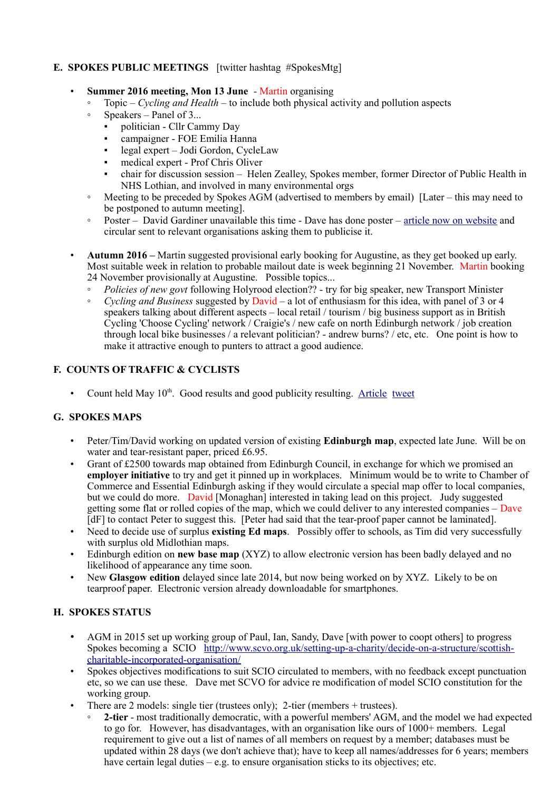## **E. SPOKES PUBLIC MEETINGS** [twitter hashtag #SpokesMtg]

- **Summer 2016 meeting, Mon 13 June** Martin organising
	- Topic *Cycling and Health* to include both physical activity and pollution aspects
	- Speakers Panel of 3...
		- politician Cllr Cammy Day
		- campaigner FOE Emilia Hanna
		- legal expert Jodi Gordon, CycleLaw
		- medical expert Prof Chris Oliver
		- chair for discussion session Helen Zealley, Spokes member, former Director of Public Health in NHS Lothian, and involved in many environmental orgs
	- Meeting to be preceded by Spokes AGM (advertised to members by email) [Later this may need to be postponed to autumn meeting].
	- Poster David Gardiner unavailable this time Dave has done poster – [article now on website](http://www.spokes.org.uk/2016/05/public-meeting-cycling-and-health/) and circular sent to relevant organisations asking them to publicise it.
- **Autumn 2016 –** Martin suggested provisional early booking for Augustine, as they get booked up early. Most suitable week in relation to probable mailout date is week beginning 21 November. Martin booking 24 November provisionally at Augustine. Possible topics...
	- *Policies of new govt* following Holyrood election?? try for big speaker, new Transport Minister
	- *Cycling and Business* suggested by David a lot of enthusiasm for this idea, with panel of 3 or 4 speakers talking about different aspects – local retail / tourism / big business support as in British Cycling 'Choose Cycling' network / Craigie's / new cafe on north Edinburgh network / job creation through local bike businesses / a relevant politician? - andrew burns? / etc, etc. One point is how to make it attractive enough to punters to attract a good audience.

## **F. COUNTS OF TRAFFIC & CYCLISTS**

Count held May  $10<sup>th</sup>$ . Good results and good publicity resulting. [Article](http://www.spokes.org.uk/2016/05/bikes-%E2%86%91%E2%86%91-cars-%E2%86%93%E2%86%93-again/) [tweet](https://twitter.com/SpokesLothian/status/730330550947483648)

## **G. SPOKES MAPS**

- Peter/Tim/David working on updated version of existing **Edinburgh map**, expected late June. Will be on water and tear-resistant paper, priced £6.95.
- Grant of £2500 towards map obtained from Edinburgh Council, in exchange for which we promised an **employer initiative** to try and get it pinned up in workplaces. Minimum would be to write to Chamber of Commerce and Essential Edinburgh asking if they would circulate a special map offer to local companies, but we could do more. David [Monaghan] interested in taking lead on this project. Judy suggested getting some flat or rolled copies of the map, which we could deliver to any interested companies – Dave [dF] to contact Peter to suggest this. [Peter had said that the tear-proof paper cannot be laminated].
- Need to decide use of surplus **existing Ed maps**. Possibly offer to schools, as Tim did very successfully with surplus old Midlothian maps.
- Edinburgh edition on **new base map** (XYZ) to allow electronic version has been badly delayed and no likelihood of appearance any time soon.
- New **Glasgow edition** delayed since late 2014, but now being worked on by XYZ. Likely to be on tearproof paper. Electronic version already downloadable for smartphones.

## **H. SPOKES STATUS**

- AGM in 2015 set up working group of Paul, Ian, Sandy, Dave [with power to coopt others] to progress Spokes becoming a SCIO [http://www.scvo.org.uk/setting-up-a-charity/decide-on-a-structure/scottish](http://www.scvo.org.uk/setting-up-a-charity/decide-on-a-structure/scottish-charitable-incorporated-organisation/)[charitable-incorporated-organisation/](http://www.scvo.org.uk/setting-up-a-charity/decide-on-a-structure/scottish-charitable-incorporated-organisation/)
- Spokes objectives modifications to suit SCIO circulated to members, with no feedback except punctuation etc, so we can use these. Dave met SCVO for advice re modification of model SCIO constitution for the working group.
- There are 2 models: single tier (trustees only); 2-tier (members + trustees).
	- **2-tier** most traditionally democratic, with a powerful members' AGM, and the model we had expected to go for. However, has disadvantages, with an organisation like ours of 1000+ members. Legal requirement to give out a list of names of all members on request by a member; databases must be updated within 28 days (we don't achieve that); have to keep all names/addresses for 6 years; members have certain legal duties – e.g. to ensure organisation sticks to its objectives; etc.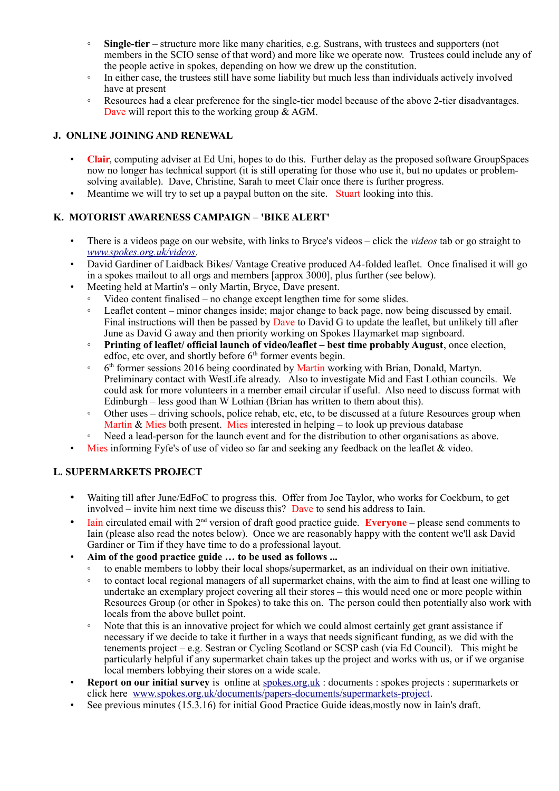- **Single-tier** structure more like many charities, e.g. Sustrans, with trustees and supporters (not members in the SCIO sense of that word) and more like we operate now. Trustees could include any of the people active in spokes, depending on how we drew up the constitution.
- In either case, the trustees still have some liability but much less than individuals actively involved have at present
- Resources had a clear preference for the single-tier model because of the above 2-tier disadvantages. Dave will report this to the working group  $\&$  AGM.

## **J. ONLINE JOINING AND RENEWAL**

- **Clair**, computing adviser at Ed Uni, hopes to do this. Further delay as the proposed software GroupSpaces now no longer has technical support (it is still operating for those who use it, but no updates or problemsolving available). Dave, Christine, Sarah to meet Clair once there is further progress.
- Meantime we will try to set up a paypal button on the site. Stuart looking into this.

# **K. MOTORIST AWARENESS CAMPAIGN – 'BIKE ALERT'**

- There is a videos page on our website, with links to Bryce's videos click the *videos* tab or go straight to *[www.spokes.org.uk/videos](http://www.spokes.org.uk/videos)*.
- David Gardiner of Laidback Bikes/Vantage Creative produced A4-folded leaflet. Once finalised it will go in a spokes mailout to all orgs and members [approx 3000], plus further (see below).
- Meeting held at Martin's only Martin, Bryce, Dave present.
	- Video content finalised no change except lengthen time for some slides.
	- Leaflet content minor changes inside; major change to back page, now being discussed by email. Final instructions will then be passed by Dave to David G to update the leaflet, but unlikely till after June as David G away and then priority working on Spokes Haymarket map signboard.
	- **Printing of leaflet/ official launch of video/leaflet best time probably August**, once election, edfoc, etc over, and shortly before  $6<sup>th</sup>$  former events begin.
	- ∘ 6<sup>th</sup> former sessions 2016 being coordinated by Martin working with Brian, Donald, Martyn. Preliminary contact with WestLife already. Also to investigate Mid and East Lothian councils. We could ask for more volunteers in a member email circular if useful. Also need to discuss format with Edinburgh – less good than W Lothian (Brian has written to them about this).
	- Other uses driving schools, police rehab, etc, etc, to be discussed at a future Resources group when Martin  $\&$  Mies both present. Mies interested in helping – to look up previous database
	- Need a lead-person for the launch event and for the distribution to other organisations as above.
- Mies informing Fyfe's of use of video so far and seeking any feedback on the leaflet  $\&$  video.

## **L. SUPERMARKETS PROJECT**

- Waiting till after June/EdFoC to progress this. Offer from Joe Taylor, who works for Cockburn, to get involved – invite him next time we discuss this? Dave to send his address to Iain.
- **Iain circulated email with**  $2<sup>nd</sup>$  **version of draft good practice guide. <b>Everyone** please send comments to Iain (please also read the notes below). Once we are reasonably happy with the content we'll ask David Gardiner or Tim if they have time to do a professional layout.
- **Aim of the good practice guide … to be used as follows ...**
	- to enable members to lobby their local shops/supermarket, as an individual on their own initiative.
	- to contact local regional managers of all supermarket chains, with the aim to find at least one willing to undertake an exemplary project covering all their stores – this would need one or more people within Resources Group (or other in Spokes) to take this on. The person could then potentially also work with locals from the above bullet point.
	- Note that this is an innovative project for which we could almost certainly get grant assistance if necessary if we decide to take it further in a ways that needs significant funding, as we did with the tenements project – e.g. Sestran or Cycling Scotland or SCSP cash (via Ed Council). This might be particularly helpful if any supermarket chain takes up the project and works with us, or if we organise local members lobbying their stores on a wide scale.
- **Report on our initial survey** is online at spokes.org.uk: documents: spokes projects: supermarkets or click here [www.spokes.org.uk/documents/papers-documents/supermarkets-project.](http://www.spokes.org.uk/documents/papers-documents/supermarkets-project)
- See previous minutes (15.3.16) for initial Good Practice Guide ideas, mostly now in Iain's draft.